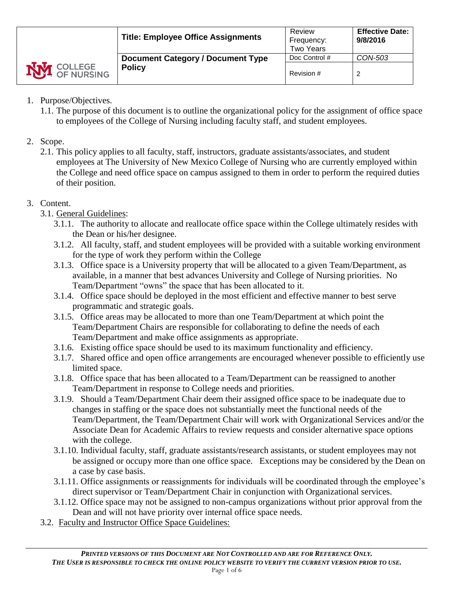|                                     | <b>Title: Employee Office Assignments</b> | Review<br>Frequency:<br><b>Two Years</b> | <b>Effective Date:</b><br>9/8/2016 |
|-------------------------------------|-------------------------------------------|------------------------------------------|------------------------------------|
|                                     | <b>Document Category / Document Type</b>  | Doc Control #                            | CON-503                            |
| <b>NVI</b> COLLEGE<br><b>Policy</b> |                                           | Revision #                               | 2                                  |

- 1. Purpose/Objectives.
	- 1.1. The purpose of this document is to outline the organizational policy for the assignment of office space to employees of the College of Nursing including faculty staff, and student employees.
- 2. Scope.
	- 2.1. This policy applies to all faculty, staff, instructors, graduate assistants/associates, and student employees at The University of New Mexico College of Nursing who are currently employed within the College and need office space on campus assigned to them in order to perform the required duties of their position.
- 3. Content.
	- 3.1. General Guidelines:
		- 3.1.1. The authority to allocate and reallocate office space within the College ultimately resides with the Dean or his/her designee.
		- 3.1.2. All faculty, staff, and student employees will be provided with a suitable working environment for the type of work they perform within the College
		- 3.1.3. Office space is a University property that will be allocated to a given Team/Department, as available, in a manner that best advances University and College of Nursing priorities. No Team/Department "owns" the space that has been allocated to it.
		- 3.1.4. Office space should be deployed in the most efficient and effective manner to best serve programmatic and strategic goals.
		- 3.1.5. Office areas may be allocated to more than one Team/Department at which point the Team/Department Chairs are responsible for collaborating to define the needs of each Team/Department and make office assignments as appropriate.
		- 3.1.6. Existing office space should be used to its maximum functionality and efficiency.
		- 3.1.7. Shared office and open office arrangements are encouraged whenever possible to efficiently use limited space.
		- 3.1.8. Office space that has been allocated to a Team/Department can be reassigned to another Team/Department in response to College needs and priorities.
		- 3.1.9. Should a Team/Department Chair deem their assigned office space to be inadequate due to changes in staffing or the space does not substantially meet the functional needs of the Team/Department, the Team/Department Chair will work with Organizational Services and/or the Associate Dean for Academic Affairs to review requests and consider alternative space options with the college.
		- 3.1.10. Individual faculty, staff, graduate assistants/research assistants, or student employees may not be assigned or occupy more than one office space. Exceptions may be considered by the Dean on a case by case basis.
		- 3.1.11. Office assignments or reassignments for individuals will be coordinated through the employee's direct supervisor or Team/Department Chair in conjunction with Organizational services.
		- 3.1.12. Office space may not be assigned to non-campus organizations without prior approval from the Dean and will not have priority over internal office space needs.
	- 3.2. Faculty and Instructor Office Space Guidelines: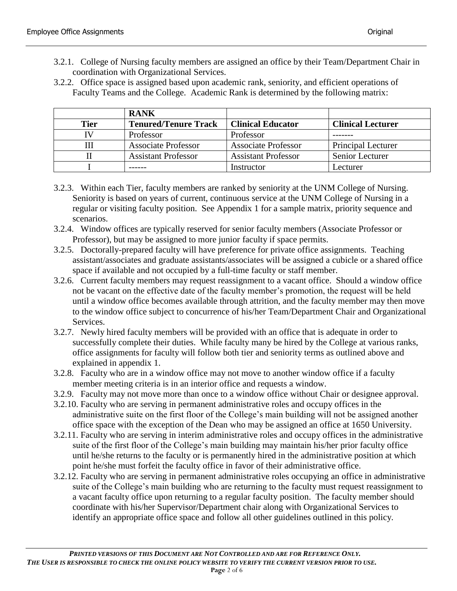- 3.2.1. College of Nursing faculty members are assigned an office by their Team/Department Chair in coordination with Organizational Services.
- 3.2.2. Office space is assigned based upon academic rank, seniority, and efficient operations of Faculty Teams and the College. Academic Rank is determined by the following matrix:

|             | <b>RANK</b>                 |                            |                           |
|-------------|-----------------------------|----------------------------|---------------------------|
| <b>Tier</b> | <b>Tenured/Tenure Track</b> | <b>Clinical Educator</b>   | <b>Clinical Lecturer</b>  |
|             | Professor                   | Professor                  |                           |
|             | <b>Associate Professor</b>  | <b>Associate Professor</b> | <b>Principal Lecturer</b> |
|             | <b>Assistant Professor</b>  | <b>Assistant Professor</b> | Senior Lecturer           |
|             |                             | Instructor                 | ecturer                   |

- 3.2.3. Within each Tier, faculty members are ranked by seniority at the UNM College of Nursing. Seniority is based on years of current, continuous service at the UNM College of Nursing in a regular or visiting faculty position. See Appendix 1 for a sample matrix, priority sequence and scenarios.
- 3.2.4. Window offices are typically reserved for senior faculty members (Associate Professor or Professor), but may be assigned to more junior faculty if space permits.
- 3.2.5. Doctorally-prepared faculty will have preference for private office assignments. Teaching assistant/associates and graduate assistants/associates will be assigned a cubicle or a shared office space if available and not occupied by a full-time faculty or staff member.
- 3.2.6. Current faculty members may request reassignment to a vacant office. Should a window office not be vacant on the effective date of the faculty member's promotion, the request will be held until a window office becomes available through attrition, and the faculty member may then move to the window office subject to concurrence of his/her Team/Department Chair and Organizational Services.
- 3.2.7. Newly hired faculty members will be provided with an office that is adequate in order to successfully complete their duties. While faculty many be hired by the College at various ranks, office assignments for faculty will follow both tier and seniority terms as outlined above and explained in appendix 1.
- 3.2.8. Faculty who are in a window office may not move to another window office if a faculty member meeting criteria is in an interior office and requests a window.
- 3.2.9. Faculty may not move more than once to a window office without Chair or designee approval.
- 3.2.10. Faculty who are serving in permanent administrative roles and occupy offices in the administrative suite on the first floor of the College's main building will not be assigned another office space with the exception of the Dean who may be assigned an office at 1650 University.
- 3.2.11. Faculty who are serving in interim administrative roles and occupy offices in the administrative suite of the first floor of the College's main building may maintain his/her prior faculty office until he/she returns to the faculty or is permanently hired in the administrative position at which point he/she must forfeit the faculty office in favor of their administrative office.
- 3.2.12. Faculty who are serving in permanent administrative roles occupying an office in administrative suite of the College's main building who are returning to the faculty must request reassignment to a vacant faculty office upon returning to a regular faculty position. The faculty member should coordinate with his/her Supervisor/Department chair along with Organizational Services to identify an appropriate office space and follow all other guidelines outlined in this policy.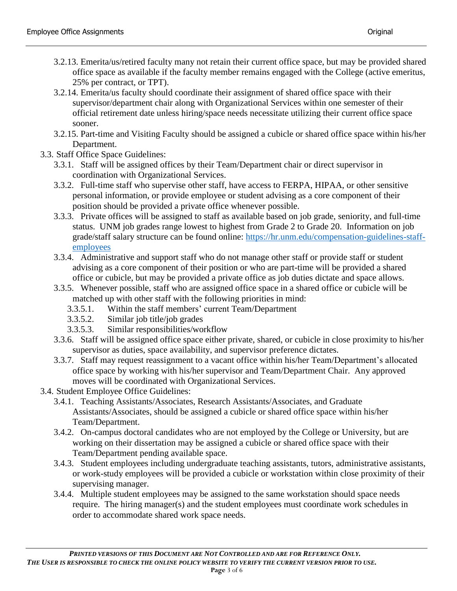- 3.2.13. Emerita/us/retired faculty many not retain their current office space, but may be provided shared office space as available if the faculty member remains engaged with the College (active emeritus, 25% per contract, or TPT).
- 3.2.14. Emerita/us faculty should coordinate their assignment of shared office space with their supervisor/department chair along with Organizational Services within one semester of their official retirement date unless hiring/space needs necessitate utilizing their current office space sooner.
- 3.2.15. Part-time and Visiting Faculty should be assigned a cubicle or shared office space within his/her Department.
- 3.3. Staff Office Space Guidelines:
	- 3.3.1. Staff will be assigned offices by their Team/Department chair or direct supervisor in coordination with Organizational Services.
	- 3.3.2. Full-time staff who supervise other staff, have access to FERPA, HIPAA, or other sensitive personal information, or provide employee or student advising as a core component of their position should be provided a private office whenever possible.
	- 3.3.3. Private offices will be assigned to staff as available based on job grade, seniority, and full-time status. UNM job grades range lowest to highest from Grade 2 to Grade 20. Information on job grade/staff salary structure can be found online: [https://hr.unm.edu/compensation-guidelines-staff](https://hr.unm.edu/compensation-guidelines-staff-employees)[employees](https://hr.unm.edu/compensation-guidelines-staff-employees)
	- 3.3.4. Administrative and support staff who do not manage other staff or provide staff or student advising as a core component of their position or who are part-time will be provided a shared office or cubicle, but may be provided a private office as job duties dictate and space allows.
	- 3.3.5. Whenever possible, staff who are assigned office space in a shared office or cubicle will be matched up with other staff with the following priorities in mind:
		- 3.3.5.1. Within the staff members' current Team/Department
		- 3.3.5.2. Similar job title/job grades
		- 3.3.5.3. Similar responsibilities/workflow
	- 3.3.6. Staff will be assigned office space either private, shared, or cubicle in close proximity to his/her supervisor as duties, space availability, and supervisor preference dictates.
	- 3.3.7. Staff may request reassignment to a vacant office within his/her Team/Department's allocated office space by working with his/her supervisor and Team/Department Chair. Any approved moves will be coordinated with Organizational Services.
- 3.4. Student Employee Office Guidelines:
	- 3.4.1. Teaching Assistants/Associates, Research Assistants/Associates, and Graduate Assistants/Associates, should be assigned a cubicle or shared office space within his/her Team/Department.
	- 3.4.2. On-campus doctoral candidates who are not employed by the College or University, but are working on their dissertation may be assigned a cubicle or shared office space with their Team/Department pending available space.
	- 3.4.3. Student employees including undergraduate teaching assistants, tutors, administrative assistants, or work-study employees will be provided a cubicle or workstation within close proximity of their supervising manager.
	- 3.4.4. Multiple student employees may be assigned to the same workstation should space needs require. The hiring manager(s) and the student employees must coordinate work schedules in order to accommodate shared work space needs.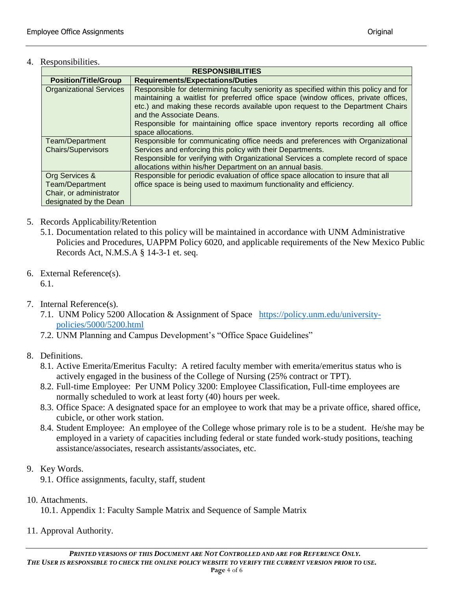## 4. Responsibilities.

| <b>RESPONSIBILITIES</b>                                                                |                                                                                                                                                                                                                                                                                                                                                                                                     |  |
|----------------------------------------------------------------------------------------|-----------------------------------------------------------------------------------------------------------------------------------------------------------------------------------------------------------------------------------------------------------------------------------------------------------------------------------------------------------------------------------------------------|--|
| <b>Position/Title/Group</b>                                                            | <b>Requirements/Expectations/Duties</b>                                                                                                                                                                                                                                                                                                                                                             |  |
| <b>Organizational Services</b>                                                         | Responsible for determining faculty seniority as specified within this policy and for<br>maintaining a waitlist for preferred office space (window offices, private offices,<br>etc.) and making these records available upon request to the Department Chairs<br>and the Associate Deans.<br>Responsible for maintaining office space inventory reports recording all office<br>space allocations. |  |
| Team/Department<br><b>Chairs/Supervisors</b>                                           | Responsible for communicating office needs and preferences with Organizational<br>Services and enforcing this policy with their Departments.<br>Responsible for verifying with Organizational Services a complete record of space<br>allocations within his/her Department on an annual basis.                                                                                                      |  |
| Org Services &<br>Team/Department<br>Chair, or administrator<br>designated by the Dean | Responsible for periodic evaluation of office space allocation to insure that all<br>office space is being used to maximum functionality and efficiency.                                                                                                                                                                                                                                            |  |

- 5. Records Applicability/Retention
	- 5.1. Documentation related to this policy will be maintained in accordance with UNM Administrative Policies and Procedures, UAPPM Policy 6020, and applicable requirements of the New Mexico Public Records Act, N.M.S.A § 14-3-1 et. seq.
- 6. External Reference(s). 6.1.
- 7. Internal Reference(s).
	- 7.1. UNM Policy 5200 Allocation & Assignment of Space [https://policy.unm.edu/university](https://policy.unm.edu/university-policies/5000/5200.html)[policies/5000/5200.html](https://policy.unm.edu/university-policies/5000/5200.html)
	- 7.2. UNM Planning and Campus Development's "Office Space Guidelines"
- 8. Definitions.
	- 8.1. Active Emerita/Emeritus Faculty: A retired faculty member with emerita/emeritus status who is actively engaged in the business of the College of Nursing (25% contract or TPT).
	- 8.2. Full-time Employee: Per UNM Policy 3200: Employee Classification, Full-time employees are normally scheduled to work at least forty (40) hours per week.
	- 8.3. Office Space: A designated space for an employee to work that may be a private office, shared office, cubicle, or other work station.
	- 8.4. Student Employee: An employee of the College whose primary role is to be a student. He/she may be employed in a variety of capacities including federal or state funded work-study positions, teaching assistance/associates, research assistants/associates, etc.
- 9. Key Words.
	- 9.1. Office assignments, faculty, staff, student
- 10. Attachments.

10.1. Appendix 1: Faculty Sample Matrix and Sequence of Sample Matrix

11. Approval Authority.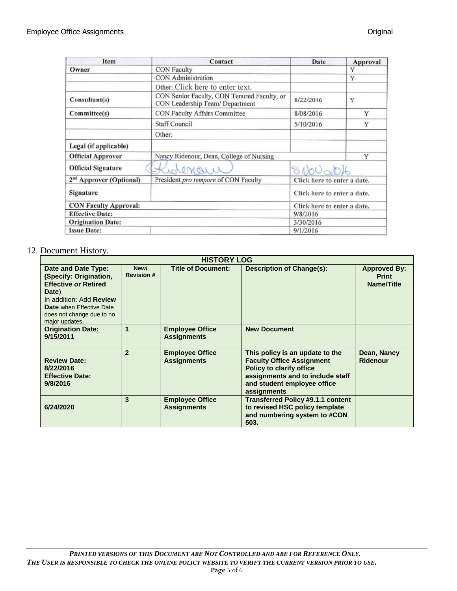| Item                                                                        | Contact                                                                        | Date                        | Approval |
|-----------------------------------------------------------------------------|--------------------------------------------------------------------------------|-----------------------------|----------|
| Owner                                                                       | <b>CON Faculty</b>                                                             |                             | Y        |
|                                                                             | <b>CON</b> Administration                                                      |                             | Y        |
|                                                                             | Other: Click here to enter text.                                               |                             |          |
| Consultant(s)                                                               | CON Senior Faculty, CON Tenured Faculty, or<br>CON Leadership Team/ Department |                             | Y        |
| Committee(s)                                                                | CON Faculty Affairs Committee                                                  | 8/08/2016                   | Y        |
|                                                                             | <b>Staff Council</b>                                                           | 5/10/2016                   | Y        |
|                                                                             | Other:                                                                         |                             |          |
| Legal (if applicable)                                                       |                                                                                |                             |          |
| <b>Official Approver</b>                                                    | Nancy Ridenour, Dean, College of Nursing                                       |                             | Y        |
| <b>Official Signature</b>                                                   | wanau                                                                          | 81000016                    |          |
| 2 <sup>nd</sup> Approver (Optional)<br>President pro tempore of CON Faculty |                                                                                | Click here to enter a date. |          |
| Signature                                                                   |                                                                                | Click here to enter a date. |          |
| <b>CON Faculty Approval:</b>                                                |                                                                                | Click here to enter a date. |          |
| <b>Effective Date:</b>                                                      |                                                                                | 9/8/2016                    |          |
| <b>Origination Date:</b>                                                    |                                                                                | 3/30/2016                   |          |
| <b>Issue Date:</b>                                                          |                                                                                | 9/1/2016                    |          |

## 12. Document History.

| <b>HISTORY LOG</b>                                                                                                                                                                                 |                           |                                              |                                                                                                                                                                                          |                                                   |
|----------------------------------------------------------------------------------------------------------------------------------------------------------------------------------------------------|---------------------------|----------------------------------------------|------------------------------------------------------------------------------------------------------------------------------------------------------------------------------------------|---------------------------------------------------|
| Date and Date Type:<br>(Specify: Origination,<br><b>Effective or Retired</b><br>Date)<br>In addition: Add Review<br><b>Date</b> when Effective Date<br>does not change due to no<br>major updates. | New/<br><b>Revision #</b> | <b>Title of Document:</b>                    | <b>Description of Change(s):</b>                                                                                                                                                         | <b>Approved By:</b><br><b>Print</b><br>Name/Title |
| <b>Origination Date:</b><br>9/15/2011                                                                                                                                                              |                           | <b>Employee Office</b><br><b>Assignments</b> | <b>New Document</b>                                                                                                                                                                      |                                                   |
| <b>Review Date:</b><br>8/22/2016<br><b>Effective Date:</b><br>9/8/2016                                                                                                                             | $\overline{2}$            | <b>Employee Office</b><br><b>Assignments</b> | This policy is an update to the<br><b>Faculty Office Assignment</b><br><b>Policy to clarify office</b><br>assignments and to include staff<br>and student employee office<br>assignments | Dean, Nancy<br>Ridenour                           |
| 6/24/2020                                                                                                                                                                                          | 3                         | <b>Employee Office</b><br><b>Assignments</b> | <b>Transferred Policy #9.1.1 content</b><br>to revised HSC policy template<br>and numbering system to #CON<br>503.                                                                       |                                                   |